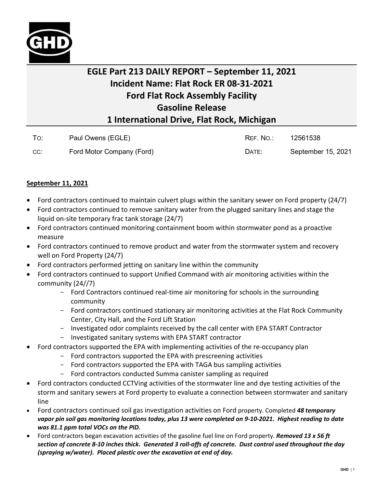

## **EGLE Part 213 DAILY REPORT – September 11, 2021 Incident Name: Flat Rock ER 08-31-2021 Ford Flat Rock Assembly Facility Gasoline Release 1 International Drive, Flat Rock, Michigan**

| To: | Paul Owens (EGLE)         | REF. NO.: | 12561538           |
|-----|---------------------------|-----------|--------------------|
| CC: | Ford Motor Company (Ford) | DATE:     | September 15, 2021 |

## **September 11, 2021**

- Ford contractors continued to maintain culvert plugs within the sanitary sewer on Ford property (24/7)
- Ford contractors continued to remove sanitary water from the plugged sanitary lines and stage the liquid on-site temporary frac tank storage (24/7)
- Ford contractors continued monitoring containment boom within stormwater pond as a proactive measure
- Ford contractors continued to remove product and water from the stormwater system and recovery well on Ford Property (24/7)
- Ford contractors performed jetting on sanitary line within the community
- Ford contractors continued to support Unified Command with air monitoring activities within the community (24//7)
	- Ford Contractors continued real-time air monitoring for schools in the surrounding community
	- Ford contractors continued stationary air monitoring activities at the Flat Rock Community Center, City Hall, and the Ford Lift Station
	- Investigated odor complaints received by the call center with EPA START Contractor
	- Investigated sanitary systems with EPA START contractor
- Ford contractors supported the EPA with implementing activities of the re-occupancy plan
	- Ford contractors supported the EPA with prescreening activities
	- Ford contractors supported the EPA with TAGA bus sampling activities
	- Ford contractors conducted Summa canister sampling as required
- Ford contractors conducted CCTVing activities of the stormwater line and dye testing activities of the storm and sanitary sewers at Ford property to evaluate a connection between stormwater and sanitary line
- Ford contractors continued soil gas investigation activities on Ford property. Completed *48 temporary vapor pin soil gas monitoring locations today, plus 13 were completed on 9-10-2021. Highest reading to date was 81.1 ppm total VOCs on the PID.*
- Ford contractors began excavation activities of the gasoline fuel line on Ford property. *Removed 13 x 56 ft section of concrete 8-10 inches thick. Generated 3 roll-offs of concrete. Dust control used throughout the day (spraying w/water). Placed plastic over the excavation at end of day.*